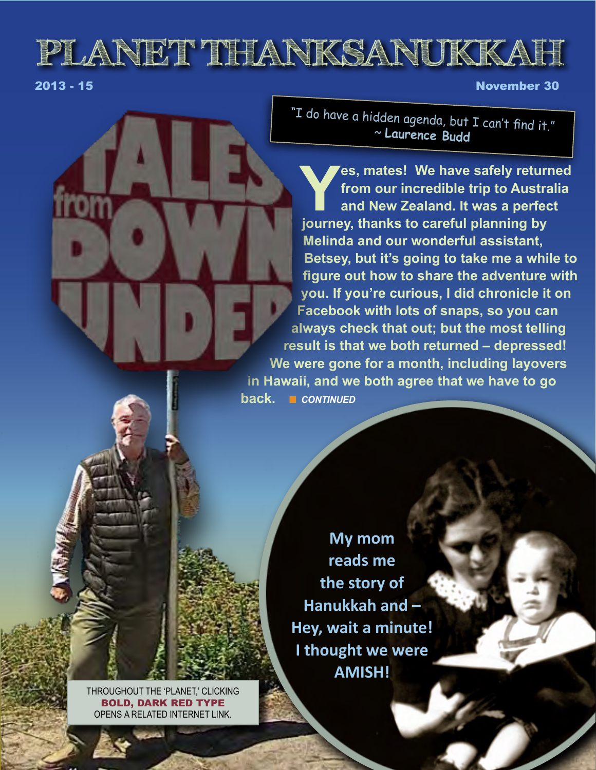# **PLANET THANKSANUKKAH**

2013 - 15 November 30

"I do have a hidden agenda, but I can't find it." <sup>~</sup>**Laurence Budd**

**Yes, mates! We have safely returned<br>
from our incredible trip to Australia<br>
and New Zealand. It was a perfect<br>
journey. thanks to careful planning by from our incredible trip to Australia and New Zealand. It was a perfect journey, thanks to careful planning by Melinda and our wonderful assistant, Betsey, but it's going to take me a while to figure out how to share the adventure with you. If you're curious, I did chronicle it on Facebook with lots of snaps, so you can always check that out; but the most telling result is that we both returned – depressed! We were gone for a month, including layovers in Hawaii, and we both agree that we have to go back.** n CONTINUED

> **My mom reads me the story of Hanukkah and – Hey, wait a minute! I thought we were AMISH!**

THROUGHOUT THE 'PLANET,' CLICKING BOLD, DARK RED TYPE OPENS A RELATED INTERNET LINK.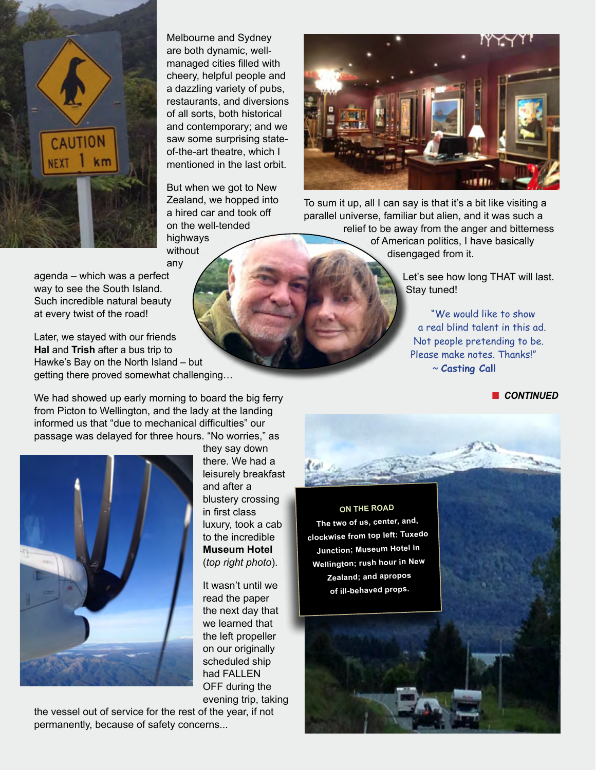

Melbourne and Sydney are both dynamic, wellmanaged cities filled with cheery, helpful people and a dazzling variety of pubs, restaurants, and diversions of all sorts, both historical and contemporary; and we saw some surprising stateof-the-art theatre, which I mentioned in the last orbit.

But when we got to New Zealand, we hopped into a hired car and took off on the well-tended highways

without any

To sum it up, all I can say is that it's a bit like visiting a parallel universe, familiar but alien, and it was such a relief to be away from the anger and bitterness of American politics, I have basically disengaged from it.

> Let's see how long THAT will last. Stay tuned!

"We would like to show a real blind talent in this ad. Not people pretending to be. Please make notes. Thanks!" ~ **Casting Call**

**n** CONTINUED

agenda – which was a perfect way to see the South Island. Such incredible natural beauty at every twist of the road!

Later, we stayed with our friends **Hal** and **Trish** after a bus trip to Hawke's Bay on the North Island – but getting there proved somewhat challenging…

We had showed up early morning to board the big ferry from Picton to Wellington, and the lady at the landing informed us that "due to mechanical difficulties" our passage was delayed for three hours. "No worries," as



they say down there. We had a leisurely breakfast and after a blustery crossing in first class luxury, took a cab to the incredible **Museum Hotel** (*top right photo*).

It wasn't until we read the paper the next day that we learned that the left propeller on our originally scheduled ship had FALLEN OFF during the evening trip, taking

the vessel out of service for the rest of the year, if not permanently, because of safety concerns...

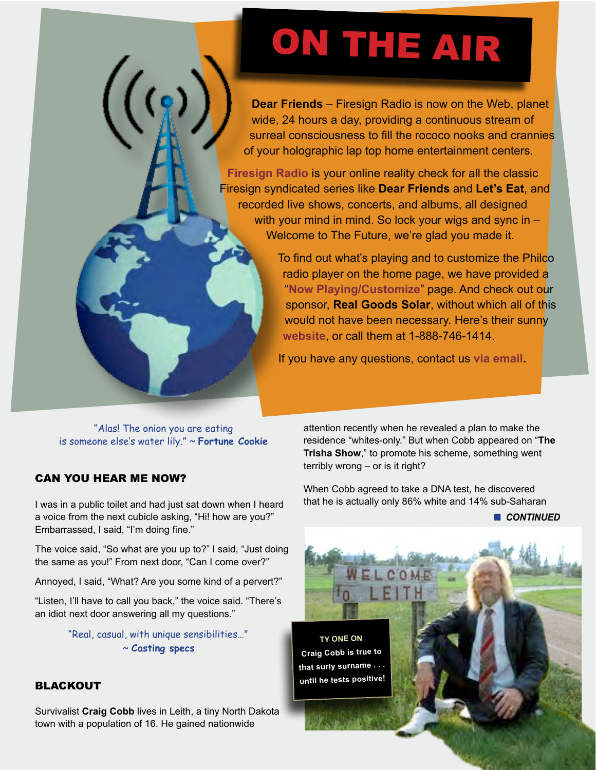# ON THE AIR

**Dear Friends** – Firesign Radio is now on the Web, planet wide, 24 hours a day, providing a continuous stream of surreal consciousness to fill the rococo nooks and crannies of your holographic lap top home entertainment centers.

**[Firesign Radio](http://firesigntheatre.com/media/media.php?item=domm)** is your online reality check for all the classic Firesign syndicated series like **Dear Friends** and **Let's Eat**, and recorded live shows, concerts, and albums, all designed with your mind in mind. So lock your wigs and sync in – Welcome to The Future, we're glad you made it.

> To find out what's playing and to customize the Philco radio player on the home page, we have provided a "**[Now Playing/Customize](http://firesigntheatre.com/frp.php)**" page. And check out our sponsor, **Real Goods Solar**, without which all of this would not have been necessary. Here's their sunny **[website](http://realgoodssolar.com/)**, or call them at 1-888-746-1414.

If you have any questions, contact us **[via email](mailto:bozos%40firesigntheatre.com?subject=Firesign%20Radio).**

"Alas! The onion you are eating is someone else's water lily." ~ **Fortune Cookie**

# CAN YOU HEAR ME NOW?

I was in a public toilet and had just sat down when I heard a voice from the next cubicle asking, "Hi! how are you?" Embarrassed, I said, "I'm doing fine."

The voice said, "So what are you up to?" I said, "Just doing the same as you!" From next door, "Can I come over?"

Annoyed, I said, "What? Are you some kind of a pervert?"

"Listen, I'll have to call you back," the voice said. "There's an idiot next door answering all my questions."

> "Real, casual, with unique sensibilities…" ~ **Casting specs**

### BLACKOUT

Survivalist **Craig Cobb** lives in Leith, a tiny North Dakota town with a population of 16. He gained nationwide

attention recently when he revealed a plan to make the residence "whites-only." But when Cobb appeared on "**The Trisha Show**," to promote his scheme, something went terribly wrong – or is it right?

When Cobb agreed to take a DNA test, he discovered that he is actually only 86% white and 14% sub-Saharan

**n** CONTINUED

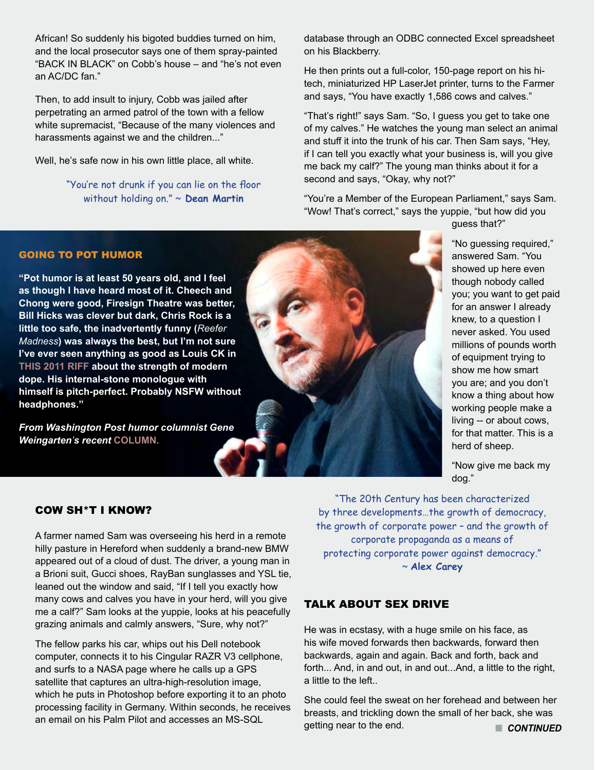African! So suddenly his bigoted buddies turned on him, and the local prosecutor says one of them spray-painted "BACK IN BLACK" on Cobb's house – and "he's not even an AC/DC fan."

Then, to add insult to injury, Cobb was jailed after perpetrating an armed patrol of the town with a fellow white supremacist, "Because of the many violences and harassments against we and the children..."

Well, he's safe now in his own little place, all white.

"You're not drunk if you can lie on the floor without holding on." ~ **Dean Martin**

database through an ODBC connected Excel spreadsheet on his Blackberry.

He then prints out a full-color, 150-page report on his hitech, miniaturized HP LaserJet printer, turns to the Farmer and says, "You have exactly 1,586 cows and calves."

"That's right!" says Sam. "So, I guess you get to take one of my calves." He watches the young man select an animal and stuff it into the trunk of his car. Then Sam says, "Hey, if I can tell you exactly what your business is, will you give me back my calf?" The young man thinks about it for a second and says, "Okay, why not?"

"You're a Member of the European Parliament," says Sam. "Wow! That's correct," says the yuppie, "but how did you

guess that?"

GOING TO POT HUMOR

**"Pot humor is at least 50 years old, and I feel as though I have heard most of it. Cheech and Chong were good, Firesign Theatre was better, Bill Hicks was clever but dark, Chris Rock is a little too safe, the inadvertently funny (***Reefer Madness***) was always the best, but I'm not sure I've ever seen anything as good as Louis CK in THI[S 2011](http://www.youtube.com/watch?v=U8FzGlgVGdo) RIFF about the strength of modern dope. His internal-stone monologue with himself is pitch-perfect. Probably NSFW without headphones."** 

*From Washington Post humor columnist Gene Weingarten's recent* **[COLUMN](http://live.washingtonpost.com/chatological-humor-131126.html?tid=hpModule_9d3add6c-8a79-11e2-98d9-3012c1cd8d1e&hpid=z15)**.

"No guessing required," answered Sam. "You showed up here even though nobody called you; you want to get paid for an answer I already knew, to a question I never asked. You used millions of pounds worth of equipment trying to show me how smart you are; and you don't know a thing about how working people make a living -- or about cows, for that matter. This is a herd of sheep.

"Now give me back my dog."

#### COW SH\*T I KNOW?

A farmer named Sam was overseeing his herd in a remote hilly pasture in Hereford when suddenly a brand-new BMW appeared out of a cloud of dust. The driver, a young man in a Brioni suit, Gucci shoes, RayBan sunglasses and YSL tie, leaned out the window and said, "If I tell you exactly how many cows and calves you have in your herd, will you give me a calf?" Sam looks at the yuppie, looks at his peacefully grazing animals and calmly answers, "Sure, why not?"

The fellow parks his car, whips out his Dell notebook computer, connects it to his Cingular RAZR V3 cellphone, and surfs to a NASA page where he calls up a GPS satellite that captures an ultra-high-resolution image, which he puts in Photoshop before exporting it to an photo processing facility in Germany. Within seconds, he receives an email on his Palm Pilot and accesses an MS-SQL

"The 20th Century has been characterized by three developments…the growth of democracy, the growth of corporate power – and the growth of corporate propaganda as a means of protecting corporate power against democracy." ~ **Alex Carey**

#### TALK ABOUT SEX DRIVE

He was in ecstasy, with a huge smile on his face, as his wife moved forwards then backwards, forward then backwards, again and again. Back and forth, back and forth... And, in and out, in and out...And, a little to the right, a little to the left..

She could feel the sweat on her forehead and between her breasts, and trickling down the small of her back, she was getting near to the end. **n** CONTINUED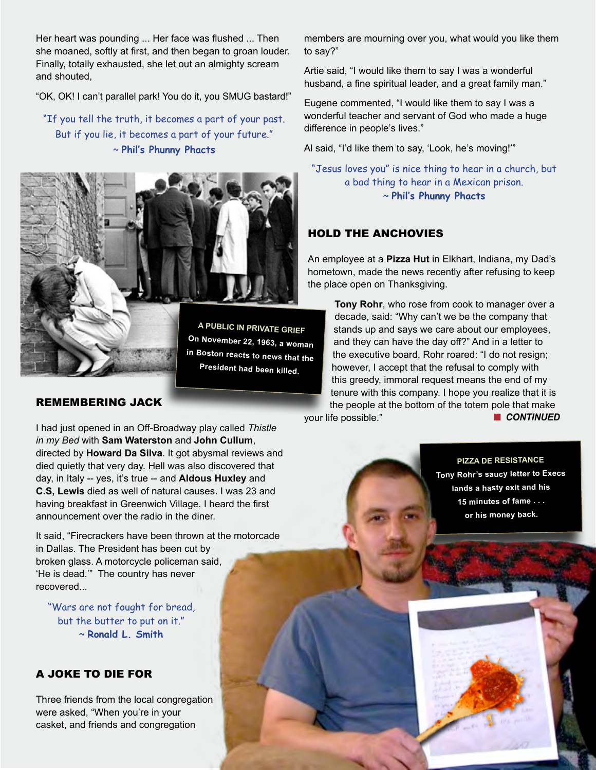Her heart was pounding ... Her face was flushed ... Then she moaned, softly at first, and then began to groan louder. Finally, totally exhausted, she let out an almighty scream and shouted,

"OK, OK! I can't parallel park! You do it, you SMUG bastard!"

"If you tell the truth, it becomes a part of your past. But if you lie, it becomes a part of your future." ~ **Phil's Phunny Phacts**



**A PUBLIC IN PRIVATE GRIEF On November 22, 1963, a woman in Boston reacts to news that the President had been killed.**

#### REMEMBERING JACK

I had just opened in an Off-Broadway play called *Thistle in my Bed* with **Sam Waterston** and **John Cullum**, directed by **Howard Da Silva**. It got abysmal reviews and died quietly that very day. Hell was also discovered that day, in Italy -- yes, it's true -- and **Aldous Huxley** and **C.S, Lewis** died as well of natural causes. I was 23 and having breakfast in Greenwich Village. I heard the first announcement over the radio in the diner.

It said, "Firecrackers have been thrown at the motorcade in Dallas. The President has been cut by broken glass. A motorcycle policeman said, 'He is dead.'" The country has never recovered...

"Wars are not fought for bread, but the butter to put on it." ~ **Ronald L. Smith** 

# A JOKE TO DIE FOR

Three friends from the local congregation were asked, "When you're in your casket, and friends and congregation

members are mourning over you, what would you like them to say?"

Artie said, "I would like them to say I was a wonderful husband, a fine spiritual leader, and a great family man."

Eugene commented, "I would like them to say I was a wonderful teacher and servant of God who made a huge difference in people's lives."

Al said, "I'd like them to say, 'Look, he's moving!'"

"Jesus loves you" is nice thing to hear in a church, but a bad thing to hear in a Mexican prison. ~ **Phil's Phunny Phacts**

#### HOLD THE ANCHOVIES

An employee at a **Pizza Hut** in Elkhart, Indiana, my Dad's hometown, made the news recently after refusing to keep the place open on Thanksgiving.

**Tony Rohr**, who rose from cook to manager over a decade, said: "Why can't we be the company that stands up and says we care about our employees, and they can have the day off?" And in a letter to the executive board, Rohr roared: "I do not resign; however, I accept that the refusal to comply with this greedy, immoral request means the end of my tenure with this company. I hope you realize that it is the people at the bottom of the totem pole that make **n** CONTINUED

your life possible."

**PIZZA DE RESISTANCE Tony Rohr's saucy letter to Execs lands a hasty exit and his 15 minutes of fame . . . or his money back.**